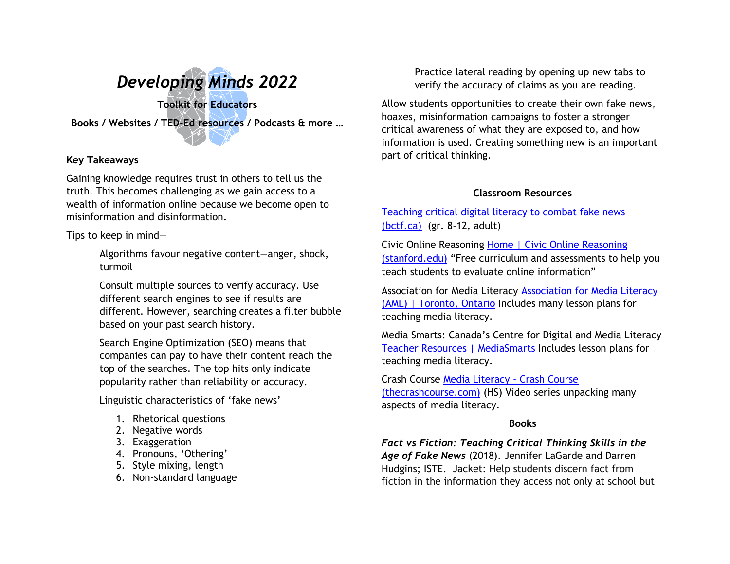

# **Key Takeaways**

Gaining knowledge requires trust in others to tell us the truth. This becomes challenging as we gain access to a wealth of information online because we become open to misinformation and disinformation.

Tips to keep in mind—

Algorithms favour negative content—anger, shock, turmoil

Consult multiple sources to verify accuracy. Use different search engines to see if results are different. However, searching creates a filter bubble based on your past search history.

Search Engine Optimization (SEO) means that companies can pay to have their content reach the top of the searches. The top hits only indicate popularity rather than reliability or accuracy.

Linguistic characteristics of 'fake news'

- 1. Rhetorical questions
- 2. Negative words
- 3. Exaggeration
- 4. Pronouns, 'Othering'
- 5. Style mixing, length
- 6. Non-standard language

Practice lateral reading by opening up new tabs to verify the accuracy of claims as you are reading.

Allow students opportunities to create their own fake news, hoaxes, misinformation campaigns to foster a stronger critical awareness of what they are exposed to, and how information is used. Creating something new is an important part of critical thinking.

# **Classroom Resources**

# [Teaching critical digital literacy to combat fake news](https://www.bctf.ca/classroom-resources/details/teaching-critical-digital-literacy-to-combat-fake-news)  [\(bctf.ca\)](https://www.bctf.ca/classroom-resources/details/teaching-critical-digital-literacy-to-combat-fake-news) (gr. 8-12, adult)

Civic Online Reasoning [Home | Civic Online Reasoning](https://cor.stanford.edu/)  [\(stanford.edu\)](https://cor.stanford.edu/) "Free curriculum and assessments to help you teach students to evaluate online information"

Association for Media Literacy [Association for Media Literacy](https://aml.ca/)  [\(AML\) | Toronto, Ontario](https://aml.ca/) Includes many lesson plans for teaching media literacy.

Media Smarts: Canada's Centre for Digital and Media Literacy [Teacher Resources | MediaSmarts](https://mediasmarts.ca/teacher-resources) Includes lesson plans for teaching media literacy.

Crash Course [Media Literacy -](https://thecrashcourse.com/topic/medialiteracy/) Crash Course [\(thecrashcourse.com\)](https://thecrashcourse.com/topic/medialiteracy/) (HS) Video series unpacking many aspects of media literacy.

# **Books**

*Fact vs Fiction: Teaching Critical Thinking Skills in the Age of Fake News* (2018). Jennifer LaGarde and Darren Hudgins; ISTE. Jacket: Help students discern fact from fiction in the information they access not only at school but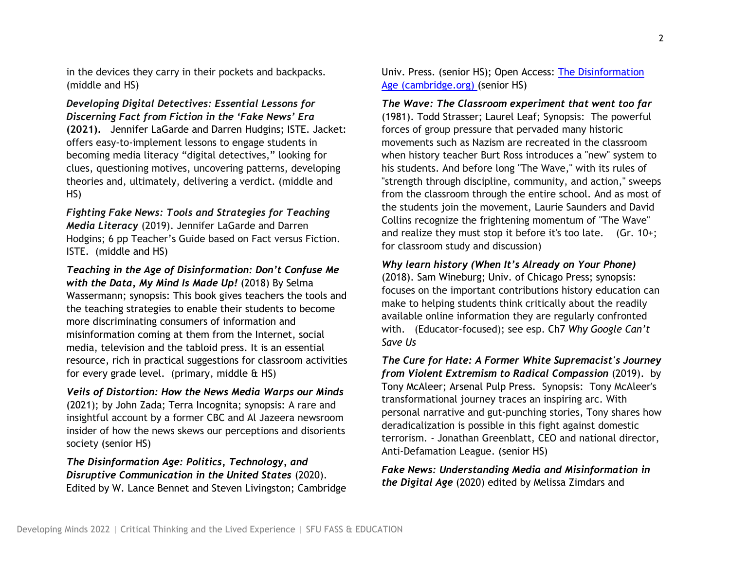in the devices they carry in their pockets and backpacks. (middle and HS)

*Developing Digital Detectives: Essential Lessons for Discerning Fact from Fiction in the 'Fake News' Era* **(2021).** Jennifer LaGarde and Darren Hudgins; ISTE. Jacket: offers easy-to-implement lessons to engage students in becoming media literacy "digital detectives," looking for clues, questioning motives, uncovering patterns, developing theories and, ultimately, delivering a verdict. (middle and HS)

*Fighting Fake News: Tools and Strategies for Teaching Media Literacy* (2019). Jennifer LaGarde and Darren Hodgins; 6 pp Teacher's Guide based on Fact versus Fiction. ISTE. (middle and HS)

*Teaching in the Age of Disinformation: Don't Confuse Me with the Data, My Mind Is Made Up!* (2018) By Selma Wassermann; synopsis: This book gives teachers the tools and the teaching strategies to enable their students to become more discriminating consumers of information and misinformation coming at them from the Internet, social media, television and the tabloid press. It is an essential resource, rich in practical suggestions for classroom activities for every grade level. (primary, middle  $\&$  HS)

*Veils of Distortion: How the News Media Warps our Minds* (2021); by John Zada; Terra Incognita; synopsis: A rare and insightful account by a former CBC and Al Jazeera newsroom insider of how the news skews our perceptions and disorients society (senior HS)

*The Disinformation Age: Politics, Technology, and Disruptive Communication in the United States* (2020). Edited by W. Lance Bennet and Steven Livingston; Cambridge Univ. Press. (senior HS); Open Access: [The Disinformation](https://www.cambridge.org/core/books/disinformation-age/1F4751119C7C4693E514C249E0F0F997)  [Age \(cambridge.org\)](https://www.cambridge.org/core/books/disinformation-age/1F4751119C7C4693E514C249E0F0F997) (senior HS)

*The Wave: The Classroom experiment that went too far* (1981). Todd Strasser; Laurel Leaf; Synopsis: The powerful forces of group pressure that pervaded many historic movements such as Nazism are recreated in the classroom when history teacher Burt Ross introduces a "new" system to his students. And before long "The Wave," with its rules of "strength through discipline, community, and action," sweeps from the classroom through the entire school. And as most of the students join the movement, Laurie Saunders and David Collins recognize the frightening momentum of "The Wave" and realize they must stop it before it's too late. (Gr. 10+; for classroom study and discussion)

### *Why learn history (When It's Already on Your Phone)*

(2018). Sam Wineburg; Univ. of Chicago Press; synopsis: focuses on the important contributions history education can make to helping students think critically about the readily available online information they are regularly confronted with. (Educator-focused); see esp. Ch7 *Why Google Can't Save Us*

*The Cure for Hate: A Former White Supremacist's Journey from Violent Extremism to Radical Compassion* (2019). by Tony McAleer; Arsenal Pulp Press. Synopsis: Tony McAleer's transformational journey traces an inspiring arc. With personal narrative and gut-punching stories, Tony shares how deradicalization is possible in this fight against domestic terrorism. - Jonathan Greenblatt, CEO and national director, Anti-Defamation League. (senior HS)

*Fake News: Understanding Media and Misinformation in the Digital Age* (2020) edited by Melissa Zimdars and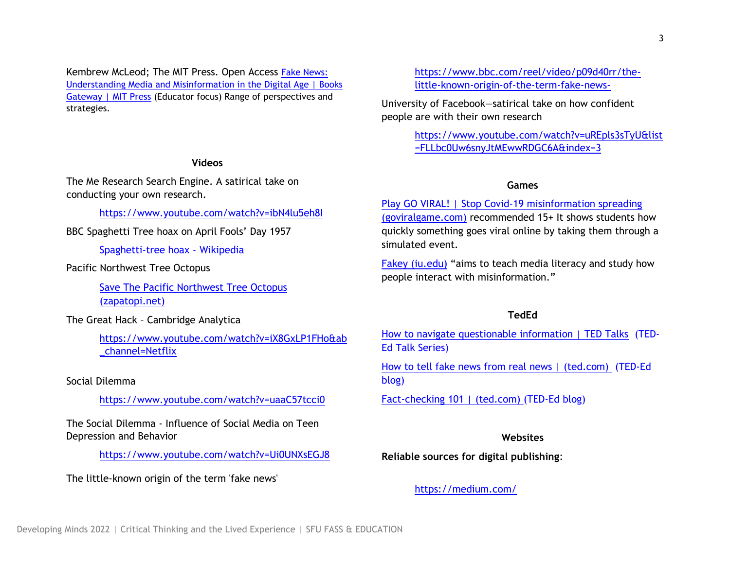Kembrew McLeod; The MIT Press. Open Access [Fake News:](https://direct.mit.edu/books/book/4625/Fake-NewsUnderstanding-Media-and-Misinformation-in)  [Understanding Media and Misinformation in the Digital Age | Books](https://direct.mit.edu/books/book/4625/Fake-NewsUnderstanding-Media-and-Misinformation-in)  [Gateway | MIT Press](https://direct.mit.edu/books/book/4625/Fake-NewsUnderstanding-Media-and-Misinformation-in) (Educator focus) Range of perspectives and strategies.

### **Videos**

The Me Research Search Engine. A satirical take on conducting your own research.

<https://www.youtube.com/watch?v=ibN4lu5eh8I>

# BBC Spaghetti Tree hoax on April Fools' Day 1957

[Spaghetti-tree hoax -](https://en.wikipedia.org/wiki/Spaghetti-tree_hoax) Wikipedia

## Pacific Northwest Tree Octopus

[Save The Pacific Northwest Tree Octopus](https://zapatopi.net/treeoctopus/)  [\(zapatopi.net\)](https://zapatopi.net/treeoctopus/)

The Great Hack – Cambridge Analytica

[https://www.youtube.com/watch?v=iX8GxLP1FHo&ab](https://www.youtube.com/watch?v=iX8GxLP1FHo&ab_channel=Netflix) [\\_channel=Netflix](https://www.youtube.com/watch?v=iX8GxLP1FHo&ab_channel=Netflix)

### Social Dilemma

<https://www.youtube.com/watch?v=uaaC57tcci0>

The Social Dilemma - Influence of Social Media on Teen Depression and Behavior

<https://www.youtube.com/watch?v=Ui0UNXsEGJ8>

The little-known origin of the term 'fake news'

[https://www.bbc.com/reel/video/p09d40rr/the](https://www.bbc.com/reel/video/p09d40rr/the-little-known-origin-of-the-term-fake-news-)[little-known-origin-of-the-term-fake-news-](https://www.bbc.com/reel/video/p09d40rr/the-little-known-origin-of-the-term-fake-news-)

University of Facebook—satirical take on how confident people are with their own research

> [https://www.youtube.com/watch?v=uREpls3sTyU&list](https://www.youtube.com/watch?v=uREpls3sTyU&list=FLLbc0Uw6snyJtMEwwRDGC6A&index=3) [=FLLbc0Uw6snyJtMEwwRDGC6A&index=3](https://www.youtube.com/watch?v=uREpls3sTyU&list=FLLbc0Uw6snyJtMEwwRDGC6A&index=3)

#### **Games**

[Play GO VIRAL! | Stop Covid-19 misinformation spreading](https://www.goviralgame.com/en)  [\(goviralgame.com\)](https://www.goviralgame.com/en) recommended 15+ It shows students how quickly something goes viral online by taking them through a simulated event.

[Fakey \(iu.edu\)](https://fakey.osome.iu.edu/) "aims to teach media literacy and study how people interact with misinformation."

### **TedEd**

[How to navigate questionable information | TED Talks](https://www.ted.com/playlists/555/how_navigate_questionable_information) (TED-Ed Talk Series)

[How to tell fake news from real news | \(ted.com\)](https://blog.ed.ted.com/2017/01/12/how-to-tell-fake-news-from-real-news/) (TED-Ed blog)

[Fact-checking 101 | \(ted.com\)](https://blog.ed.ted.com/2017/03/30/factchecking-101/) (TED-Ed blog)

# **Websites**

**Reliable sources for digital publishing**:

### <https://medium.com/>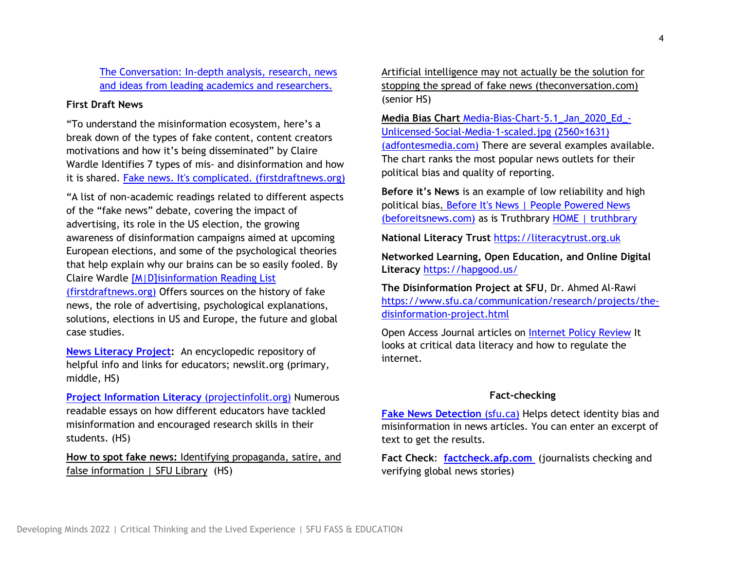[The Conversation: In-depth analysis, research, news](https://theconversation.com/ca)  [and ideas from leading academics and researchers.](https://theconversation.com/ca)

# **First Draft News**

"To understand the misinformation ecosystem, here's a break down of the types of fake content, content creators motivations and how it's being disseminated" by Claire Wardle Identifies 7 types of mis- and disinformation and how it is shared. [Fake news. It's complicated. \(firstdraftnews.org\)](https://firstdraftnews.org/articles/fake-news-complicated/)

"A list of non-academic readings related to different aspects of the "fake news" debate, covering the impact of advertising, its role in the US election, the growing awareness of disinformation campaigns aimed at upcoming European elections, and some of the psychological theories that help explain why our brains can be so easily fooled. By Claire Wardle [\[M|D\]isinformation Reading List](https://firstdraftnews.org/articles/misinformation-reading-list/) 

[\(firstdraftnews.org\)](https://firstdraftnews.org/articles/misinformation-reading-list/) Offers sources on the history of fake news, the role of advertising, psychological explanations, solutions, elections in US and Europe, the future and global case studies.

**[News Literacy Project:](http://newslit.org/)** An encyclopedic repository of helpful info and links for educators; newslit.org (primary, middle, HS)

**[Project Information Literacy](https://projectinfolit.org/)** (projectinfolit.org) Numerous readable essays on how different educators have tackled misinformation and encouraged research skills in their students. (HS)

**How to spot fake news:** [Identifying propaganda, satire, and](https://www.lib.sfu.ca/help/research-assistance/fake-news)  [false information | SFU Library](https://www.lib.sfu.ca/help/research-assistance/fake-news) (HS)

[Artificial intelligence may not actually be the solution for](https://theconversation.com/artificial-intelligence-may-not-actually-be-the-solution-for-stopping-the-spread-of-fake-news-172001?utm_medium=email&utm_campaign=Latest%20from%20The%20Conversation%20Canada%20for%20November%2029%202021&utm_content=Latest%20from%20The%20Conversation%20Canada%20for%20November%2029%202021+CID_7fef70c03436d2b7d3fc1d34c8acb705&utm_source=campaign_monitor_ca&utm_term=Artificial%20intelligence%20may%20not%20actually%20be%20the%20solution%20for%20stopping%20the%20spread%20of%20fake%20news)  [stopping the spread of fake news \(theconversation.com\)](https://theconversation.com/artificial-intelligence-may-not-actually-be-the-solution-for-stopping-the-spread-of-fake-news-172001?utm_medium=email&utm_campaign=Latest%20from%20The%20Conversation%20Canada%20for%20November%2029%202021&utm_content=Latest%20from%20The%20Conversation%20Canada%20for%20November%2029%202021+CID_7fef70c03436d2b7d3fc1d34c8acb705&utm_source=campaign_monitor_ca&utm_term=Artificial%20intelligence%20may%20not%20actually%20be%20the%20solution%20for%20stopping%20the%20spread%20of%20fake%20news) (senior HS)

**Media Bias Chart** [Media-Bias-Chart-5.1\\_Jan\\_2020\\_Ed\\_-](https://adfontesmedia.com/wp-content/uploads/2020/07/Media-Bias-Chart-5.1_Jan_2020_Ed_-Unlicensed-Social-Media-1-scaled.jpg) [Unlicensed-Social-Media-1-scaled.jpg \(2560×1631\)](https://adfontesmedia.com/wp-content/uploads/2020/07/Media-Bias-Chart-5.1_Jan_2020_Ed_-Unlicensed-Social-Media-1-scaled.jpg)  [\(adfontesmedia.com\)](https://adfontesmedia.com/wp-content/uploads/2020/07/Media-Bias-Chart-5.1_Jan_2020_Ed_-Unlicensed-Social-Media-1-scaled.jpg) There are several examples available. The chart ranks the most popular news outlets for their political bias and quality of reporting.

**Before it's News** is an example of low reliability and high political bias. [Before It's News | People Powered News](https://beforeitsnews.com/)  [\(beforeitsnews.com\)](https://beforeitsnews.com/) as is Truthbrary [HOME | truthbrary](https://www.truthbrary.org/)

**National Literacy Trust** [https://literacytrust.org.uk](https://literacytrust.org.uk/)

**Networked Learning, Open Education, and Online Digital Literacy** <https://hapgood.us/>

**The Disinformation Project at SFU**, Dr. Ahmed Al-Rawi [https://www.sfu.ca/communication/research/projects/the](https://www.sfu.ca/communication/research/projects/the-disinformation-project.html)[disinformation-project.html](https://www.sfu.ca/communication/research/projects/the-disinformation-project.html)

Open Access Journal articles on [Internet Policy Review](https://policyreview.info/users/ina-sander) It looks at critical data literacy and how to regulate the internet.

### **Fact-checking**

**[Fake News Detection](http://fakenews.research.sfu.ca/)** (sfu.ca) Helps detect identity bias and misinformation in news articles. You can enter an excerpt of text to get the results.

**Fact Check**: **[factcheck.afp.com](https://factcheck.afp.com/)** (journalists checking and verifying global news stories)